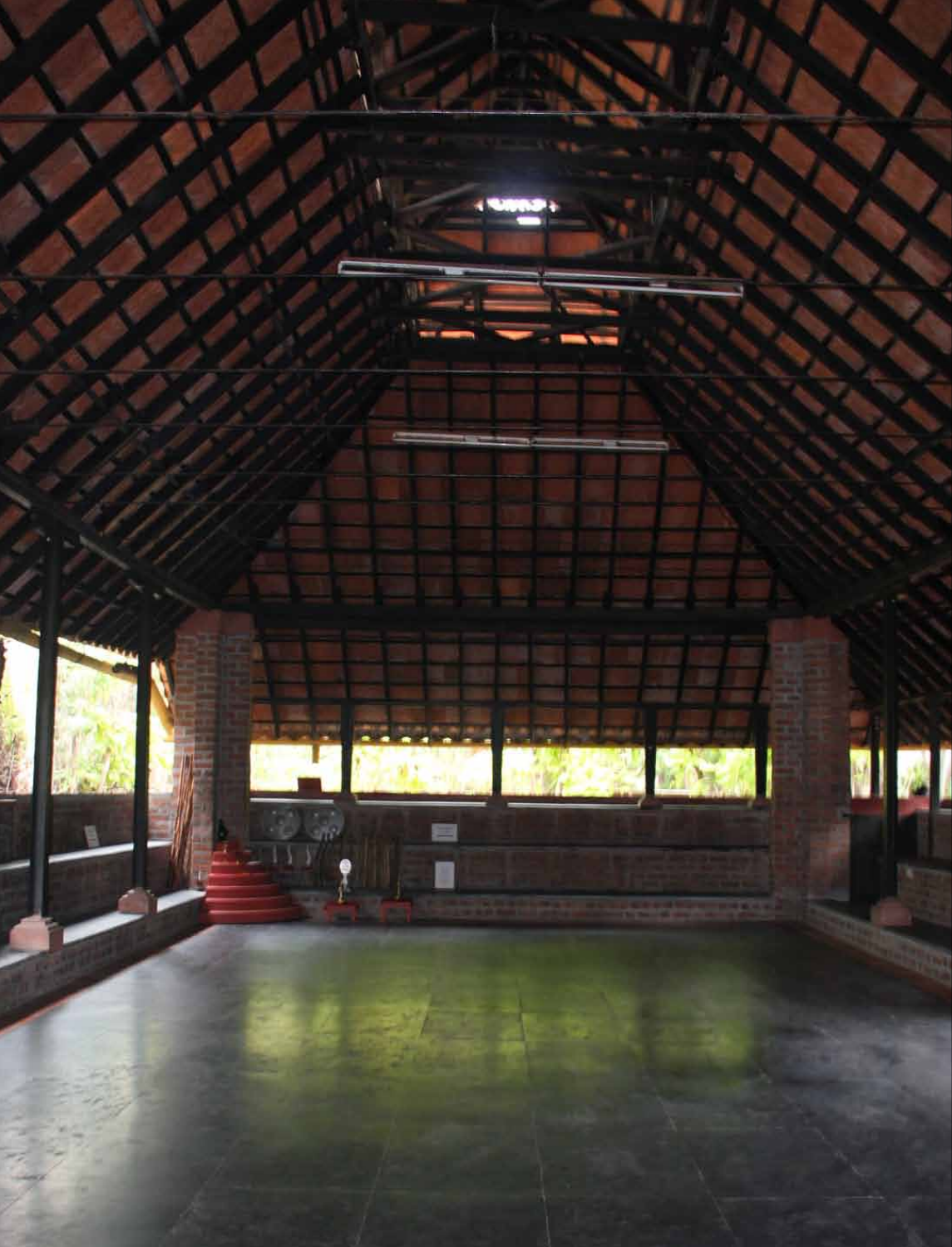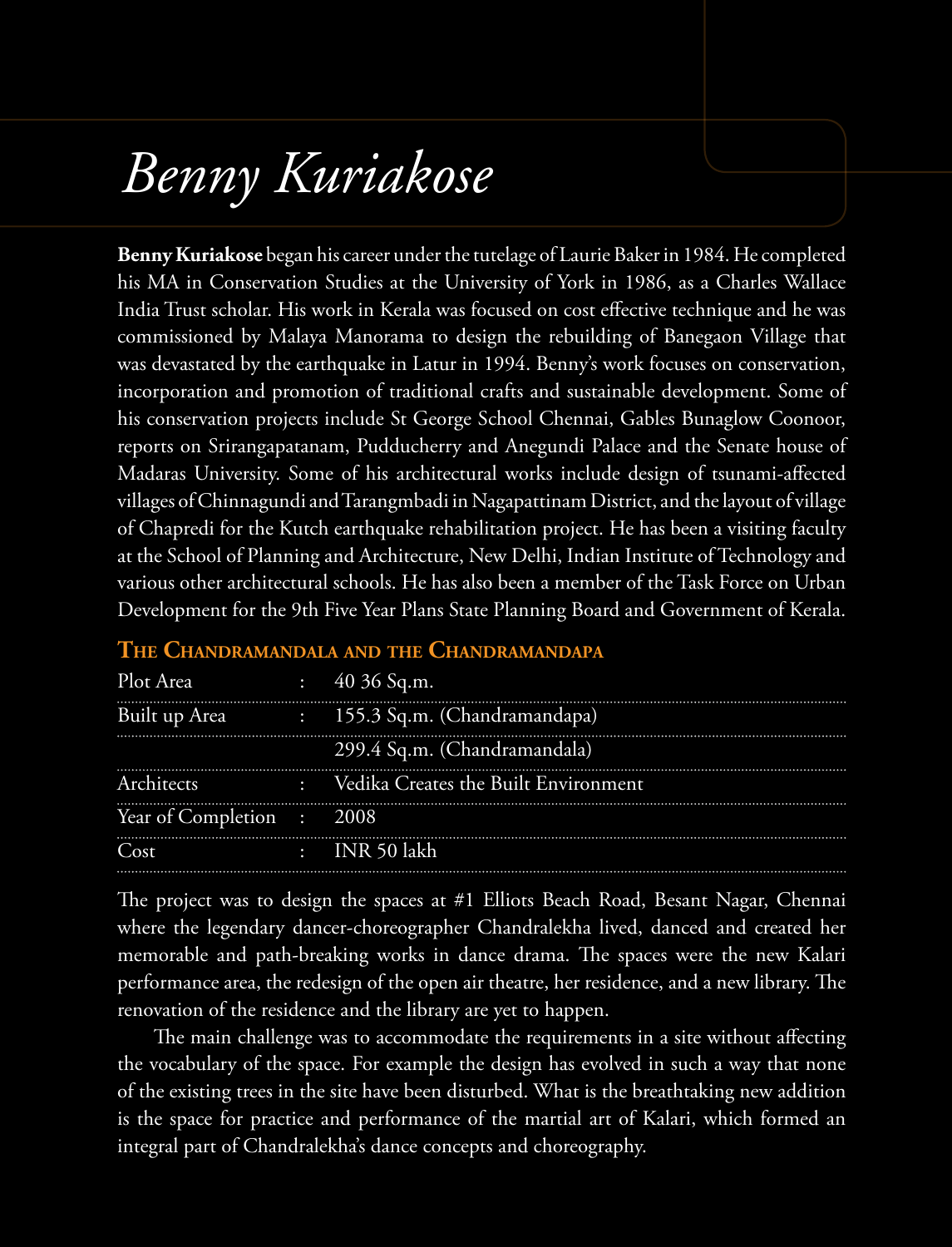# Benny Kuriakose

**Benny Kuriakose** began his career under the tutelage of Laurie Baker in 1984. He completed his MA in Conservation Studies at the University of York in 1986, as a Charles Wallace India Trust scholar. His work in Kerala was focused on cost effective technique and he was commissioned by Malaya Manorama to design the rebuilding of Banegaon Village that was devastated by the earthquake in Latur in 1994. Benny's work focuses on conservation, incorporation and promotion of traditional crafts and sustainable development. Some of his conservation projects include St George School Chennai, Gables Bunaglow Coonoor, reports on Srirangapatanam, Pudducherry and Anegundi Palace and the Senate house of Madaras University. Some of his architectural works include design of tsunami-affected villages of Chinnagundi and Tarangmbadi in Nagapattinam District, and the layout of village of Chapredi for the Kutch earthquake rehabilitation project. He has been a visiting faculty at the School of Planning and Architecture, New Delhi, Indian Institute of Technology and various other architectural schools. He has also been a member of the Task Force on Urban Development for the 9th Five Year Plans State Planning Board and Government of Kerala.

#### **The Chandramandala and the Chandramandapa**

| Plot Area                                     | $\therefore$ 40 36 Sq.m.               |
|-----------------------------------------------|----------------------------------------|
| Built up Area                                 | : 155.3 Sq.m. (Chandramandapa)         |
|                                               | 299.4 Sq.m. (Chandramandala)           |
| Architects                                    | : Vedika Creates the Built Environment |
| Year of $\overline{\text{Completion}}$ : 2008 |                                        |
| Cost                                          | $\therefore$ INR 50 lakh               |

The project was to design the spaces at #1 Elliots Beach Road, Besant Nagar, Chennai where the legendary dancer-choreographer Chandralekha lived, danced and created her memorable and path-breaking works in dance drama. The spaces were the new Kalari performance area, the redesign of the open air theatre, her residence, and a new library. The renovation of the residence and the library are yet to happen.

integral part of Chandralekha's dance concepts and choreography. The main challenge was to accommodate the requirements in a site without affecting the vocabulary of the space. For example the design has evolved in such a way that none of the existing trees in the site have been disturbed. What is the breathtaking new addition is the space for practice and performance of the martial art of Kalari, which formed an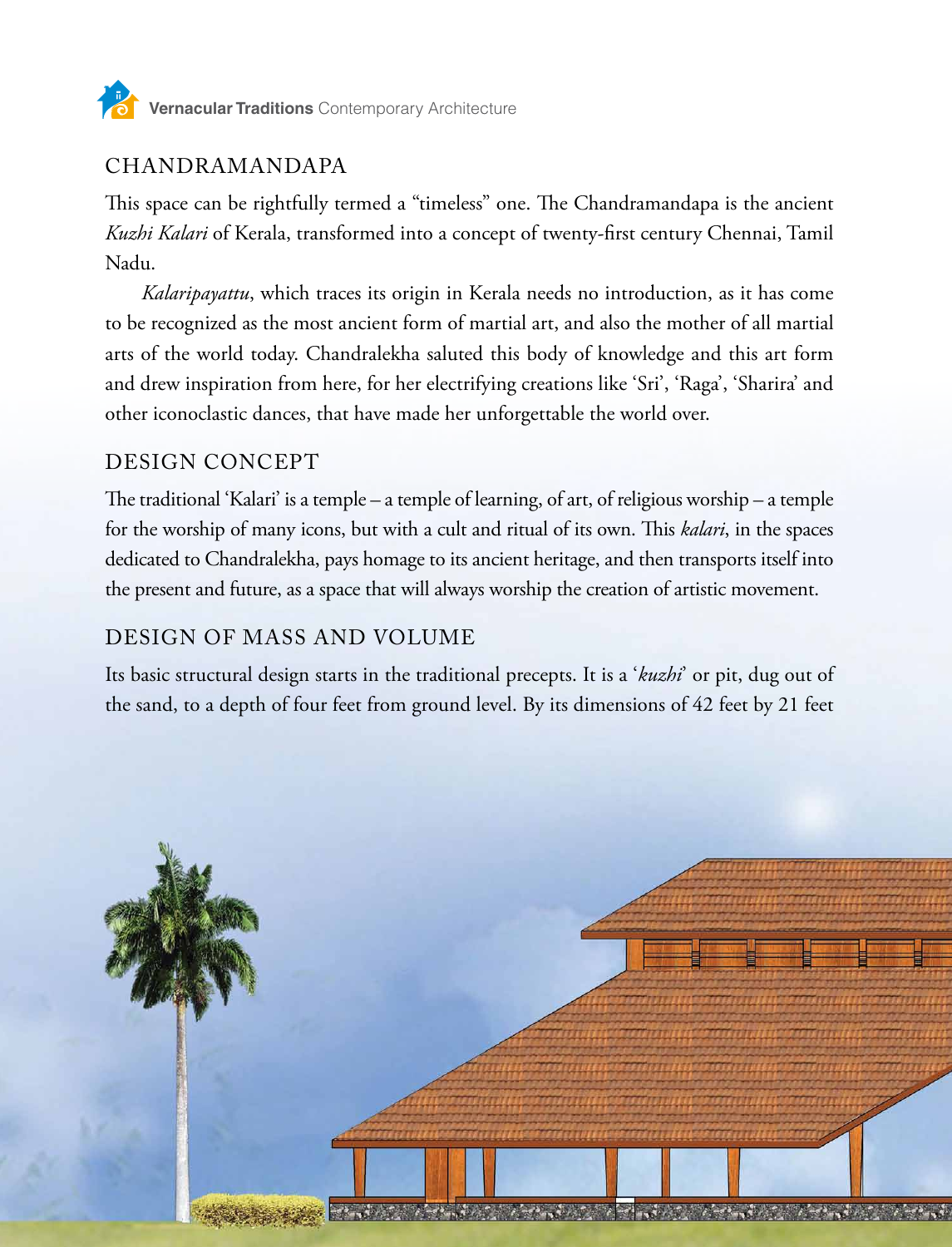![](_page_2_Picture_0.jpeg)

# Chandramandapa

This space can be rightfully termed a "timeless" one. The Chandramandapa is the ancient *Kuzhi Kalari* of Kerala, transformed into a concept of twenty-first century Chennai, Tamil Nadu.

*Kalaripayattu*, which traces its origin in Kerala needs no introduction, as it has come to be recognized as the most ancient form of martial art, and also the mother of all martial arts of the world today. Chandralekha saluted this body of knowledge and this art form and drew inspiration from here, for her electrifying creations like 'Sri', 'Raga', 'Sharira' and other iconoclastic dances, that have made her unforgettable the world over.

### Design Concept

The traditional 'Kalari' is a temple – a temple of learning, of art, of religious worship – a temple for the worship of many icons, but with a cult and ritual of its own. This *kalari*, in the spaces dedicated to Chandralekha, pays homage to its ancient heritage, and then transports itself into the present and future, as a space that will always worship the creation of artistic movement.

# Design of Mass and Volume

Its basic structural design starts in the traditional precepts. It is a '*kuzhi*' or pit, dug out of the sand, to a depth of four feet from ground level. By its dimensions of 42 feet by 21 feet

![](_page_2_Picture_8.jpeg)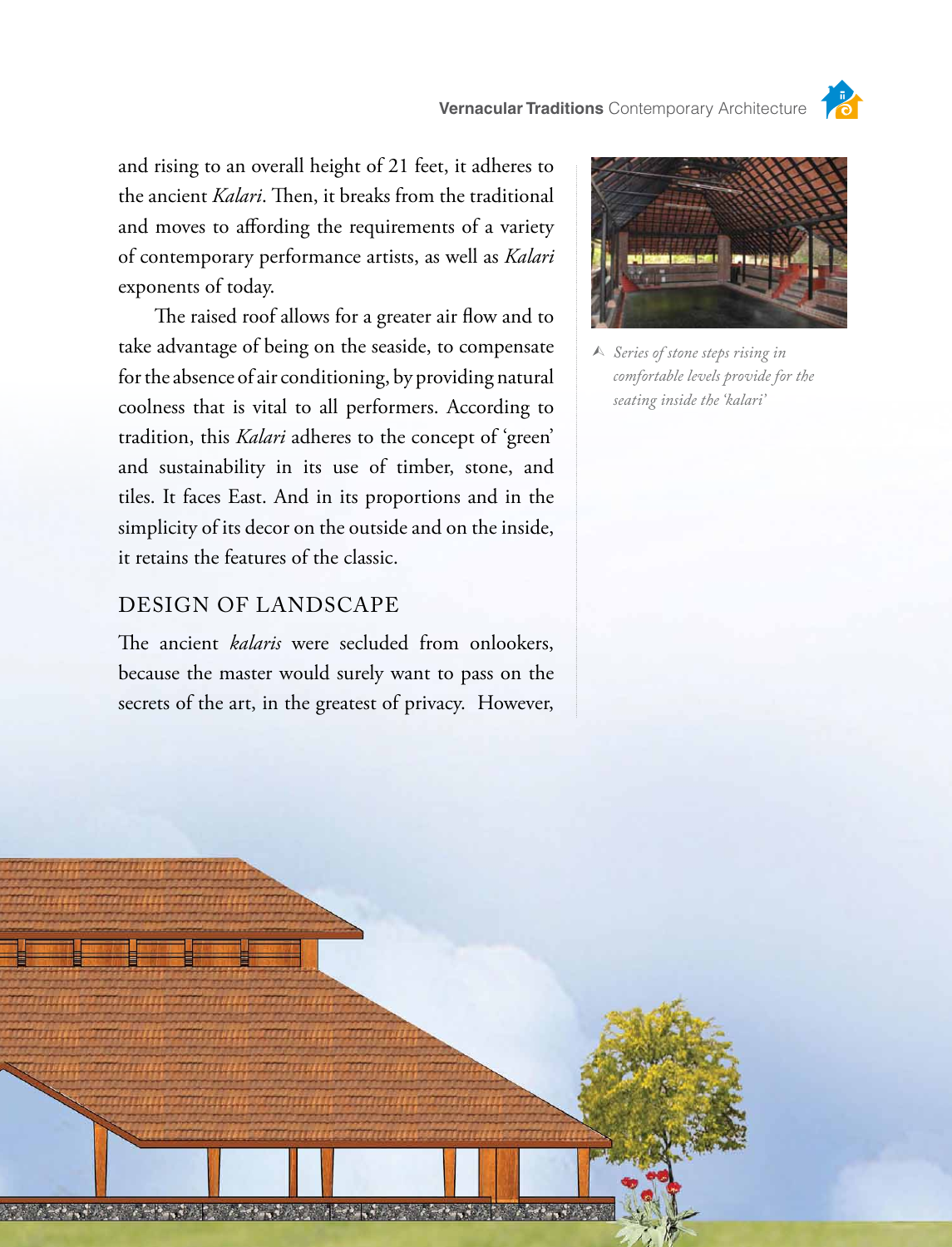and rising to an overall height of 21 feet, it adheres to the ancient *Kalari*. Then, it breaks from the traditional and moves to affording the requirements of a variety of contemporary performance artists, as well as *Kalari* exponents of today.

The raised roof allows for a greater air flow and to take advantage of being on the seaside, to compensate for the absence of air conditioning, by providing natural coolness that is vital to all performers. According to tradition, this *Kalari* adheres to the concept of 'green' and sustainability in its use of timber, stone, and tiles. It faces East. And in its proportions and in the simplicity of its decor on the outside and on the inside, it retains the features of the classic.

#### Design of Landscape

The ancient *kalaris* were secluded from onlookers, because the master would surely want to pass on the secrets of the art, in the greatest of privacy. However,

![](_page_3_Picture_5.jpeg)

Ù *Series of stone steps rising in comfortable levels provide for the seating inside the 'kalari'*

Case Studies on Sustainable Architecture 215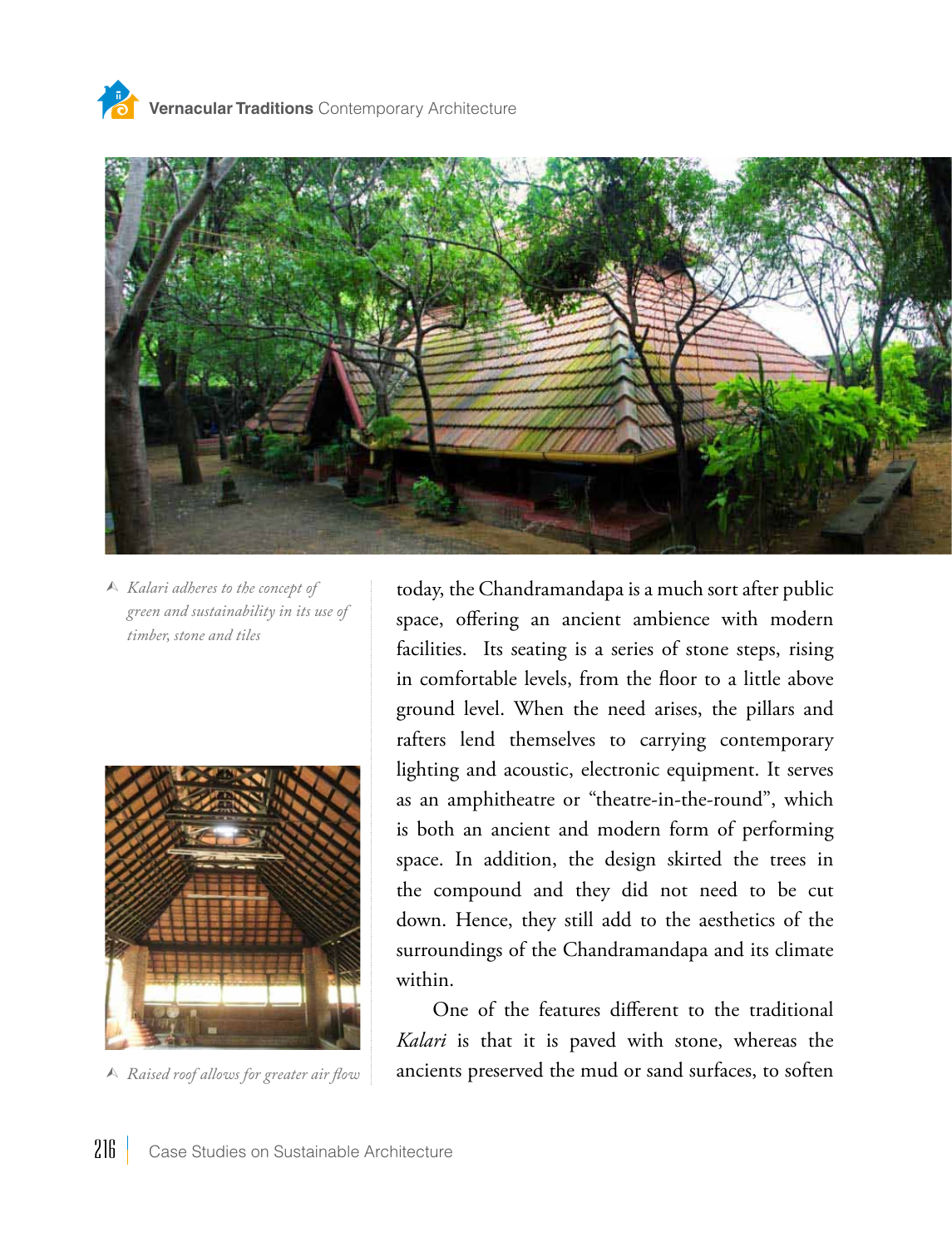![](_page_4_Picture_0.jpeg)

![](_page_4_Picture_1.jpeg)

Ù *Kalari adheres to the concept of green and sustainability in its use of timber, stone and tiles*

![](_page_4_Picture_3.jpeg)

Ù *Raised roof allows for greater air flow*

today, the Chandramandapa is a much sort after public space, offering an ancient ambience with modern facilities. Its seating is a series of stone steps, rising in comfortable levels, from the floor to a little above ground level. When the need arises, the pillars and rafters lend themselves to carrying contemporary lighting and acoustic, electronic equipment. It serves as an amphitheatre or "theatre-in-the-round", which is both an ancient and modern form of performing space. In addition, the design skirted the trees in the compound and they did not need to be cut down. Hence, they still add to the aesthetics of the surroundings of the Chandramandapa and its climate within.

One of the features different to the traditional *Kalari* is that it is paved with stone, whereas the ancients preserved the mud or sand surfaces, to soften